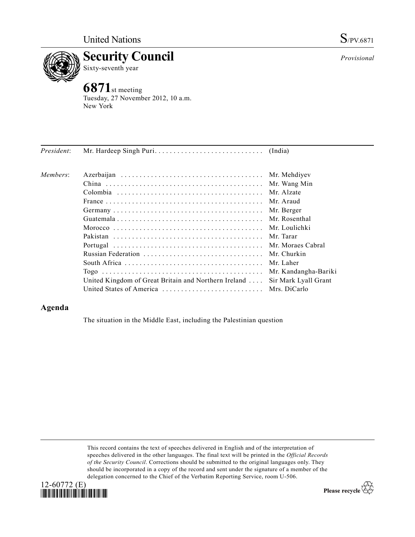

Sixty-seventh year

## **6871**st meeting

Tuesday, 27 November 2012, 10 a.m. New York

| President: |                                                      |                      |
|------------|------------------------------------------------------|----------------------|
| Members:   |                                                      | Mr. Mehdiyev         |
|            |                                                      | Mr. Wang Min         |
|            |                                                      | Mr. Alzate           |
|            |                                                      | Mr. Araud            |
|            |                                                      | Mr. Berger           |
|            |                                                      | Mr. Rosenthal        |
|            |                                                      | Mr. Loulichki        |
|            |                                                      | Mr. Tarar            |
|            |                                                      | Mr. Moraes Cabral    |
|            |                                                      | Mr. Churkin          |
|            |                                                      | Mr. Laher            |
|            |                                                      | Mr. Kandangha-Bariki |
|            | United Kingdom of Great Britain and Northern Ireland | Sir Mark Lyall Grant |
|            |                                                      |                      |

## **Agenda**

The situation in the Middle East, including the Palestinian question

This record contains the text of speeches delivered in English and of the interpretation of speeches delivered in the other languages. The final text will be printed in the *Official Records of the Security Council*. Corrections should be submitted to the original languages only. They should be incorporated in a copy of the record and sent under the signature of a member of the delegation concerned to the Chief of the Verbatim Reporting Service, room U-506.





*Provisional*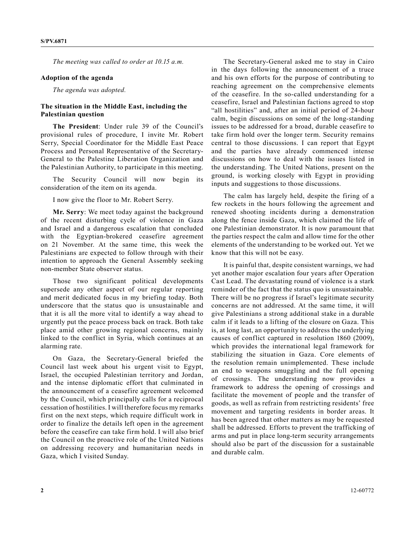*The meeting was called to order at 10.15 a.m.*

## **Adoption of the agenda**

*The agenda was adopted.*

## **The situation in the Middle East, including the Palestinian question**

**The President**: Under rule 39 of the Council's provisional rules of procedure, I invite Mr. Robert Serry, Special Coordinator for the Middle East Peace Process and Personal Representative of the Secretary-General to the Palestine Liberation Organization and the Palestinian Authority, to participate in this meeting.

The Security Council will now begin its consideration of the item on its agenda.

I now give the floor to Mr. Robert Serry.

**Mr. Serry**: We meet today against the background of the recent disturbing cycle of violence in Gaza and Israel and a dangerous escalation that concluded with the Egyptian-brokered ceasefire agreement on 21 November. At the same time, this week the Palestinians are expected to follow through with their intention to approach the General Assembly seeking non-member State observer status.

Those two significant political developments supersede any other aspect of our regular reporting and merit dedicated focus in my briefing today. Both underscore that the status quo is unsustainable and that it is all the more vital to identify a way ahead to urgently put the peace process back on track. Both take place amid other growing regional concerns, mainly linked to the conflict in Syria, which continues at an alarming rate.

On Gaza, the Secretary-General briefed the Council last week about his urgent visit to Egypt, Israel, the occupied Palestinian territory and Jordan, and the intense diplomatic effort that culminated in the announcement of a ceasefire agreement welcomed by the Council, which principally calls for a reciprocal cessation of hostilities. I will therefore focus my remarks first on the next steps, which require difficult work in order to finalize the details left open in the agreement before the ceasefire can take firm hold. I will also brief the Council on the proactive role of the United Nations on addressing recovery and humanitarian needs in Gaza, which I visited Sunday.

The Secretary-General asked me to stay in Cairo in the days following the announcement of a truce and his own efforts for the purpose of contributing to reaching agreement on the comprehensive elements of the ceasefire. In the so-called understanding for a ceasefire, Israel and Palestinian factions agreed to stop "all hostilities" and, after an initial period of 24-hour calm, begin discussions on some of the long-standing issues to be addressed for a broad, durable ceasefire to take firm hold over the longer term. Security remains central to those discussions. I can report that Egypt and the parties have already commenced intense discussions on how to deal with the issues listed in the understanding. The United Nations, present on the ground, is working closely with Egypt in providing inputs and suggestions to those discussions.

The calm has largely held, despite the firing of a few rockets in the hours following the agreement and renewed shooting incidents during a demonstration along the fence inside Gaza, which claimed the life of one Palestinian demonstrator. It is now paramount that the parties respect the calm and allow time for the other elements of the understanding to be worked out. Yet we know that this will not be easy.

It is painful that, despite consistent warnings, we had yet another major escalation four years after Operation Cast Lead. The devastating round of violence is a stark reminder of the fact that the status quo is unsustainable. There will be no progress if Israel's legitimate security concerns are not addressed. At the same time, it will give Palestinians a strong additional stake in a durable calm if it leads to a lifting of the closure on Gaza. This is, at long last, an opportunity to address the underlying causes of conflict captured in resolution 1860 (2009), which provides the international legal framework for stabilizing the situation in Gaza. Core elements of the resolution remain unimplemented. These include an end to weapons smuggling and the full opening of crossings. The understanding now provides a framework to address the opening of crossings and facilitate the movement of people and the transfer of goods, as well as refrain from restricting residents' free movement and targeting residents in border areas. It has been agreed that other matters as may be requested shall be addressed. Efforts to prevent the trafficking of arms and put in place long-term security arrangements should also be part of the discussion for a sustainable and durable calm.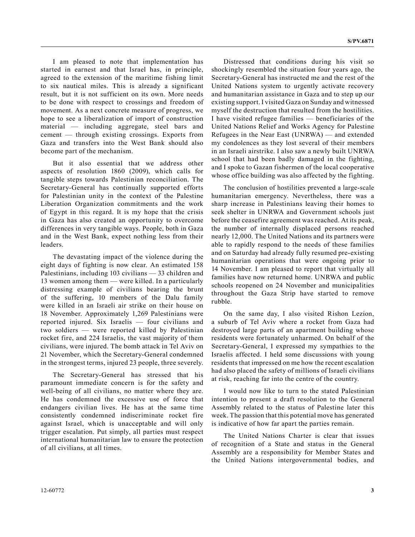I am pleased to note that implementation has started in earnest and that Israel has, in principle, agreed to the extension of the maritime fishing limit to six nautical miles. This is already a significant result, but it is not sufficient on its own. More needs to be done with respect to crossings and freedom of movement. As a next concrete measure of progress, we hope to see a liberalization of import of construction material — including aggregate, steel bars and cement — through existing crossings. Exports from Gaza and transfers into the West Bank should also become part of the mechanism.

But it also essential that we address other aspects of resolution 1860 (2009), which calls for tangible steps towards Palestinian reconciliation. The Secretary-General has continually supported efforts for Palestinian unity in the context of the Palestine Liberation Organization commitments and the work of Egypt in this regard. It is my hope that the crisis in Gaza has also created an opportunity to overcome differences in very tangible ways. People, both in Gaza and in the West Bank, expect nothing less from their leaders.

The devastating impact of the violence during the eight days of fighting is now clear. An estimated 158 Palestinians, including 103 civilians — 33 children and 13 women among them — were killed. In a particularly distressing example of civilians bearing the brunt of the suffering, 10 members of the Dalu family were killed in an Israeli air strike on their house on 18 November. Approximately 1,269 Palestinians were reported injured. Six Israelis — four civilians and two soldiers — were reported killed by Palestinian rocket fire, and 224 Israelis, the vast majority of them civilians, were injured. The bomb attack in Tel Aviv on 21 November, which the Secretary-General condemned in the strongest terms, injured 23 people, three severely.

The Secretary-General has stressed that his paramount immediate concern is for the safety and well-being of all civilians, no matter where they are. He has condemned the excessive use of force that endangers civilian lives. He has at the same time consistently condemned indiscriminate rocket fire against Israel, which is unacceptable and will only trigger escalation. Put simply, all parties must respect international humanitarian law to ensure the protection of all civilians, at all times.

Distressed that conditions during his visit so shockingly resembled the situation four years ago, the Secretary-General has instructed me and the rest of the United Nations system to urgently activate recovery and humanitarian assistance in Gaza and to step up our existing support. I visited Gaza on Sunday and witnessed myself the destruction that resulted from the hostilities. I have visited refugee families — beneficiaries of the United Nations Relief and Works Agency for Palestine Refugees in the Near East (UNRWA) — and extended my condolences as they lost several of their members in an Israeli airstrike. I also saw a newly built UNRWA school that had been badly damaged in the fighting, and I spoke to Gazan fishermen of the local cooperative whose office building was also affected by the fighting.

The conclusion of hostilities prevented a large-scale humanitarian emergency. Nevertheless, there was a sharp increase in Palestinians leaving their homes to seek shelter in UNRWA and Government schools just before the ceasefire agreement was reached. At its peak, the number of internally displaced persons reached nearly 12,000. The United Nations and its partners were able to rapidly respond to the needs of these families and on Saturday had already fully resumed pre-existing humanitarian operations that were ongoing prior to 14 November. I am pleased to report that virtually all families have now returned home. UNRWA and public schools reopened on 24 November and municipalities throughout the Gaza Strip have started to remove rubble.

On the same day, I also visited Rishon Lezion, a suburb of Tel Aviv where a rocket from Gaza had destroyed large parts of an apartment building whose residents were fortunately unharmed. On behalf of the Secretary-General, I expressed my sympathies to the Israelis affected. I held some discussions with young residents that impressed on me how the recent escalation had also placed the safety of millions of Israeli civilians at risk, reaching far into the centre of the country.

I would now like to turn to the stated Palestinian intention to present a draft resolution to the General Assembly related to the status of Palestine later this week. The passion that this potential move has generated is indicative of how far apart the parties remain.

The United Nations Charter is clear that issues of recognition of a State and status in the General Assembly are a responsibility for Member States and the United Nations intergovernmental bodies, and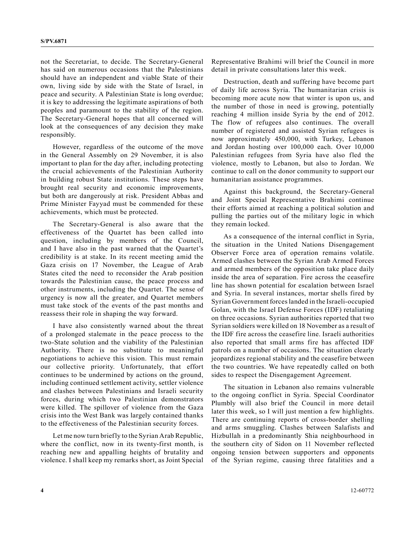not the Secretariat, to decide. The Secretary-General has said on numerous occasions that the Palestinians should have an independent and viable State of their own, living side by side with the State of Israel, in peace and security. A Palestinian State is long overdue; it is key to addressing the legitimate aspirations of both peoples and paramount to the stability of the region. The Secretary-General hopes that all concerned will look at the consequences of any decision they make responsibly.

However, regardless of the outcome of the move in the General Assembly on 29 November, it is also important to plan for the day after, including protecting the crucial achievements of the Palestinian Authority in building robust State institutions. These steps have brought real security and economic improvements, but both are dangerously at risk. President Abbas and Prime Minister Fayyad must be commended for these achievements, which must be protected.

The Secretary-General is also aware that the effectiveness of the Quartet has been called into question, including by members of the Council, and I have also in the past warned that the Quartet's credibility is at stake. In its recent meeting amid the Gaza crisis on 17 November, the League of Arab States cited the need to reconsider the Arab position towards the Palestinian cause, the peace process and other instruments, including the Quartet. The sense of urgency is now all the greater, and Quartet members must take stock of the events of the past months and reassess their role in shaping the way forward.

I have also consistently warned about the threat of a prolonged stalemate in the peace process to the two-State solution and the viability of the Palestinian Authority. There is no substitute to meaningful negotiations to achieve this vision. This must remain our collective priority. Unfortunately, that effort continues to be undermined by actions on the ground, including continued settlement activity, settler violence and clashes between Palestinians and Israeli security forces, during which two Palestinian demonstrators were killed. The spillover of violence from the Gaza crisis into the West Bank was largely contained thanks to the effectiveness of the Palestinian security forces.

Let me now turn briefly to the Syrian Arab Republic, where the conflict, now in its twenty-first month, is reaching new and appalling heights of brutality and violence. I shall keep my remarks short, as Joint Special Representative Brahimi will brief the Council in more detail in private consultations later this week.

Destruction, death and suffering have become part of daily life across Syria. The humanitarian crisis is becoming more acute now that winter is upon us, and the number of those in need is growing, potentially reaching 4 million inside Syria by the end of 2012. The flow of refugees also continues. The overall number of registered and assisted Syrian refugees is now approximately 450,000, with Turkey, Lebanon and Jordan hosting over 100,000 each. Over 10,000 Palestinian refugees from Syria have also fled the violence, mostly to Lebanon, but also to Jordan. We continue to call on the donor community to support our humanitarian assistance programmes.

Against this background, the Secretary-General and Joint Special Representative Brahimi continue their efforts aimed at reaching a political solution and pulling the parties out of the military logic in which they remain locked.

As a consequence of the internal conflict in Syria, the situation in the United Nations Disengagement Observer Force area of operation remains volatile. Armed clashes between the Syrian Arab Armed Forces and armed members of the opposition take place daily inside the area of separation. Fire across the ceasefire line has shown potential for escalation between Israel and Syria. In several instances, mortar shells fired by Syrian Government forces landed in the Israeli-occupied Golan, with the Israel Defense Forces (IDF) retaliating on three occasions. Syrian authorities reported that two Syrian soldiers were killed on 18 November as a result of the IDF fire across the ceasefire line. Israeli authorities also reported that small arms fire has affected IDF patrols on a number of occasions. The situation clearly jeopardizes regional stability and the ceasefire between the two countries. We have repeatedly called on both sides to respect the Disengagement Agreement.

The situation in Lebanon also remains vulnerable to the ongoing conflict in Syria. Special Coordinator Plumbly will also brief the Council in more detail later this week, so I will just mention a few highlights. There are continuing reports of cross-border shelling and arms smuggling. Clashes between Salafists and Hizbullah in a predominantly Shia neighbourhood in the southern city of Sidon on 11 November reflected ongoing tension between supporters and opponents of the Syrian regime, causing three fatalities and a